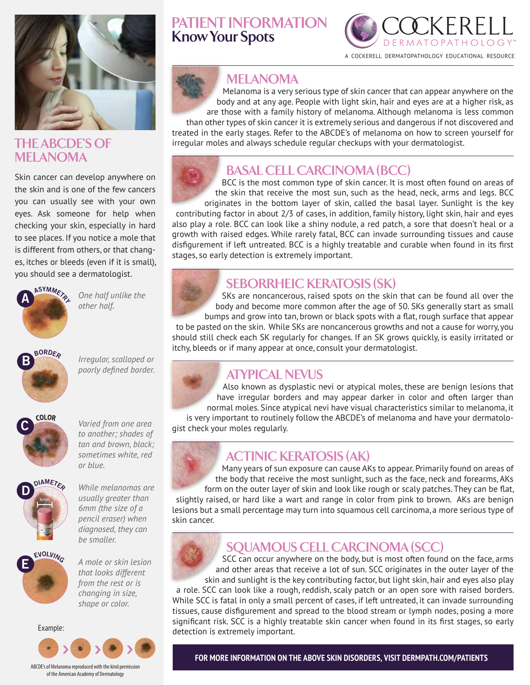

### **THE ABCDE'S OF MELANOMA**

Skin cancer can develop anywhere on the skin and is one of the few cancers you can usually see with your own eyes. Ask someone for help when checking your skin, especially in hard to see places. If you notice a mole that is different from others, or that changes, itches or bleeds (even if it is small), you should see a dermatologist.



*One half unlike the other half.*



**B C D** *Irregular, scalloped or poorly defined border.*



**C D <sup>D</sup>IAMETE<sup>R</sup>** *Varied from one area to another; shades of tan and brown, black; sometimes white, red or blue.*



*While melanomas are usually greater than 6mm (the size of a pencil eraser) when diagnosed, they can be smaller.*



*A mole or skin lesion that looks different from the rest or is changing in size, shape or color.*

Example:



# **PATIENT INFORMATION Know Your Spots**



#### **MELANOMA**

Melanoma is a very serious type of skin cancer that can appear anywhere on the body and at any age. People with light skin, hair and eyes are at a higher risk, as are those with a family history of melanoma. Although melanoma is less common than other types of skin cancer it is extremely serious and dangerous if not discovered and

treated in the early stages. Refer to the ABCDE's of melanoma on how to screen yourself for irregular moles and always schedule regular checkups with your dermatologist.



# **BASAL CELL CARCINOMA (BCC)**

BCC is the most common type of skin cancer. It is most often found on areas of the skin that receive the most sun, such as the head, neck, arms and legs. BCC

originates in the bottom layer of skin, called the basal layer. Sunlight is the key contributing factor in about 2/3 of cases, in addition, family history, light skin, hair and eyes also play a role. BCC can look like a shiny nodule, a red patch, a sore that doesn't heal or a growth with raised edges. While rarely fatal, BCC can invade surrounding tissues and cause disfigurement if left untreated. BCC is a highly treatable and curable when found in its first stages, so early detection is extremely important.

# **COLOR SEBORRHEIC KERATOSIS (SK)**

**A B EXPLEMENTATION COLUM EXPLEMENTATION EXPLEMENTATION EXPLEMENTATION EXPLEMENTATION EXPLEMENTATION COLUM EXPLEMENTATION EXPLEMENTATION COLUM EXPLEMENTATION COLUM EXPLEMENTATION COLUM EXP** body and become more common after the age of 50. SKs generally start as small bumps and grow into tan, brown or black spots with a flat, rough surface that appear

itchy, bleeds or if many appear at once, consult your dermatologist. to be pasted on the skin. While SKs are noncancerous growths and not a cause for worry, you should still check each SK regularly for changes. If an SK grows quickly, is easily irritated or

# **ATYPICAL NEVUS**

Also known as dysplastic nevi or atypical moles, these are benign lesions that have irregular borders and may appear darker in color and often larger than normal moles. Since atypical nevi have visual characteristics similar to melanoma, it is very important to routinely follow the ABCDE's of melanoma and have your dermatolo-

gist check your moles regularly.

# **COLLECTINIC KERATOSIS (AK)**

Many years of sun exposure can cause AKs to appear. Primarily found on areas of the body that receive the most sunlight, such as the face, neck and forearms, AKs

form on the outer layer of skin and look like rough or scaly patches. They can be flat, slightly raised, or hard like a wart and range in color from pink to brown. AKs are benign lesions but a small percentage may turn into squamous cell carcinoma, a more serious type of skin cancer.



**<sup>B</sup>ORDE<sup>R</sup>**

**<sup>B</sup>ORDE<sup>R</sup>**

# **SQUAMOUS CELL CARCINOMA (SCC)**

SCC can occur anywhere on the body, but is most often found on the face, arms and other areas that receive a lot of sun. SCC originates in the outer layer of the skin and sunlight is the key contributing factor, but light skin, hair and eyes also play

a role. SCC can look like a rough, reddish, scaly patch or an open sore with raised borders. While SCC is fatal in only a small percent of cases, if left untreated, it can invade surrounding tissues, cause disfigurement and spread to the blood stream or lymph nodes, posing a more significant risk. SCC is a highly treatable skin cancer when found in its first stages, so early detection is extremely important.